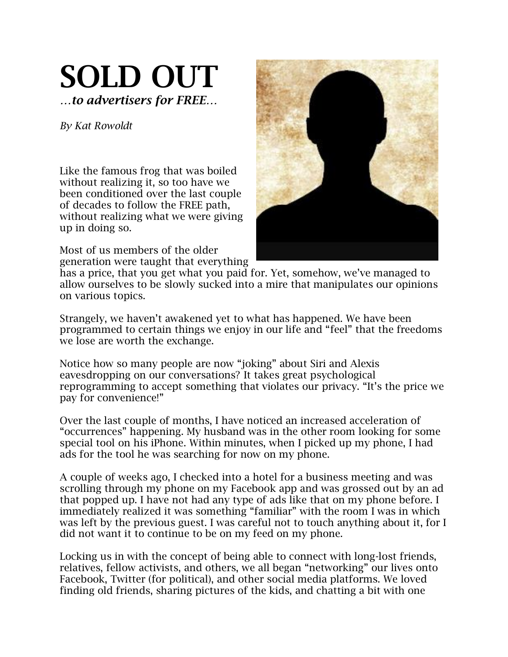## SOLD OUT *…to advertisers for FREE…*

*By Kat Rowoldt*

Like the famous frog that was boiled without realizing it, so too have we been conditioned over the last couple of decades to follow the FREE path, without realizing what we were giving up in doing so.

Most of us members of the older generation were taught that everything



has a price, that you get what you paid for. Yet, somehow, we've managed to allow ourselves to be slowly sucked into a mire that manipulates our opinions on various topics.

Strangely, we haven't awakened yet to what has happened. We have been programmed to certain things we enjoy in our life and "feel" that the freedoms we lose are worth the exchange.

Notice how so many people are now "joking" about Siri and Alexis eavesdropping on our conversations? It takes great psychological reprogramming to accept something that violates our privacy. "It's the price we pay for convenience!"

Over the last couple of months, I have noticed an increased acceleration of "occurrences" happening. My husband was in the other room looking for some special tool on his iPhone. Within minutes, when I picked up my phone, I had ads for the tool he was searching for now on my phone.

A couple of weeks ago, I checked into a hotel for a business meeting and was scrolling through my phone on my Facebook app and was grossed out by an ad that popped up. I have not had any type of ads like that on my phone before. I immediately realized it was something "familiar" with the room I was in which was left by the previous guest. I was careful not to touch anything about it, for I did not want it to continue to be on my feed on my phone.

Locking us in with the concept of being able to connect with long-lost friends, relatives, fellow activists, and others, we all began "networking" our lives onto Facebook, Twitter (for political), and other social media platforms. We loved finding old friends, sharing pictures of the kids, and chatting a bit with one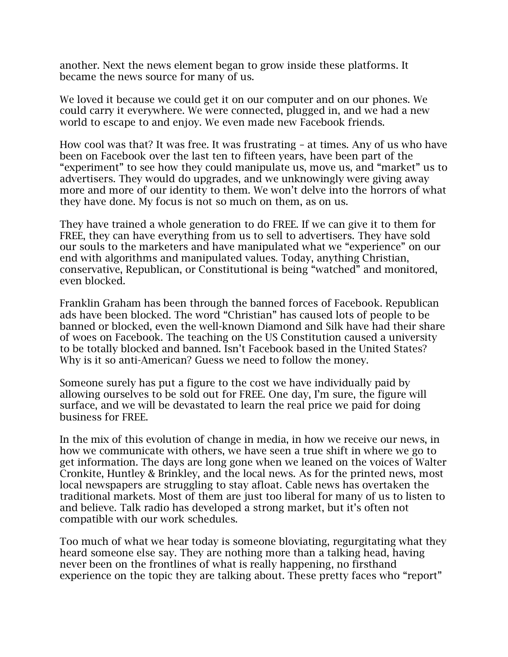another. Next the news element began to grow inside these platforms. It became the news source for many of us.

We loved it because we could get it on our computer and on our phones. We could carry it everywhere. We were connected, plugged in, and we had a new world to escape to and enjoy. We even made new Facebook friends.

How cool was that? It was free. It was frustrating – at times. Any of us who have been on Facebook over the last ten to fifteen years, have been part of the "experiment" to see how they could manipulate us, move us, and "market" us to advertisers. They would do upgrades, and we unknowingly were giving away more and more of our identity to them. We won't delve into the horrors of what they have done. My focus is not so much on them, as on us.

They have trained a whole generation to do FREE. If we can give it to them for FREE, they can have everything from us to sell to advertisers. They have sold our souls to the marketers and have manipulated what we "experience" on our end with algorithms and manipulated values. Today, anything Christian, conservative, Republican, or Constitutional is being "watched" and monitored, even blocked.

Franklin Graham has been through the banned forces of Facebook. Republican ads have been blocked. The word "Christian" has caused lots of people to be banned or blocked, even the well-known Diamond and Silk have had their share of woes on Facebook. The teaching on the US Constitution caused a university to be totally blocked and banned. Isn't Facebook based in the United States? Why is it so anti-American? Guess we need to follow the money.

Someone surely has put a figure to the cost we have individually paid by allowing ourselves to be sold out for FREE. One day, I'm sure, the figure will surface, and we will be devastated to learn the real price we paid for doing business for FREE.

In the mix of this evolution of change in media, in how we receive our news, in how we communicate with others, we have seen a true shift in where we go to get information. The days are long gone when we leaned on the voices of Walter Cronkite, Huntley & Brinkley, and the local news. As for the printed news, most local newspapers are struggling to stay afloat. Cable news has overtaken the traditional markets. Most of them are just too liberal for many of us to listen to and believe. Talk radio has developed a strong market, but it's often not compatible with our work schedules.

Too much of what we hear today is someone bloviating, regurgitating what they heard someone else say. They are nothing more than a talking head, having never been on the frontlines of what is really happening, no firsthand experience on the topic they are talking about. These pretty faces who "report"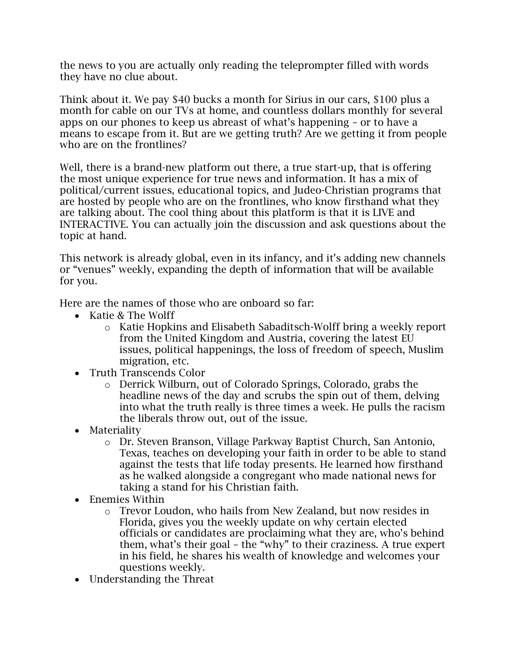the news to you are actually only reading the teleprompter filled with words they have no clue about.

Think about it. We pay \$40 bucks a month for Sirius in our cars, \$100 plus a month for cable on our TVs at home, and countless dollars monthly for several apps on our phones to keep us abreast of what's happening – or to have a means to escape from it. But are we getting truth? Are we getting it from people who are on the frontlines?

Well, there is a brand-new platform out there, a true start-up, that is offering the most unique experience for true news and information. It has a mix of political/current issues, educational topics, and Judeo-Christian programs that are hosted by people who are on the frontlines, who know firsthand what they are talking about. The cool thing about this platform is that it is LIVE and INTERACTIVE. You can actually join the discussion and ask questions about the topic at hand.

This network is already global, even in its infancy, and it's adding new channels or "venues" weekly, expanding the depth of information that will be available for you.

Here are the names of those who are onboard so far:

- Katie & The Wolff
	- o Katie Hopkins and Elisabeth Sabaditsch-Wolff bring a weekly report from the United Kingdom and Austria, covering the latest EU issues, political happenings, the loss of freedom of speech, Muslim migration, etc.
- Truth Transcends Color
	- o Derrick Wilburn, out of Colorado Springs, Colorado, grabs the headline news of the day and scrubs the spin out of them, delving into what the truth really is three times a week. He pulls the racism the liberals throw out, out of the issue.
- Materiality
	- o Dr. Steven Branson, Village Parkway Baptist Church, San Antonio, Texas, teaches on developing your faith in order to be able to stand against the tests that life today presents. He learned how firsthand as he walked alongside a congregant who made national news for taking a stand for his Christian faith.
- Enemies Within
	- o Trevor Loudon, who hails from New Zealand, but now resides in Florida, gives you the weekly update on why certain elected officials or candidates are proclaiming what they are, who's behind them, what's their goal – the "why" to their craziness. A true expert in his field, he shares his wealth of knowledge and welcomes your questions weekly.
- Understanding the Threat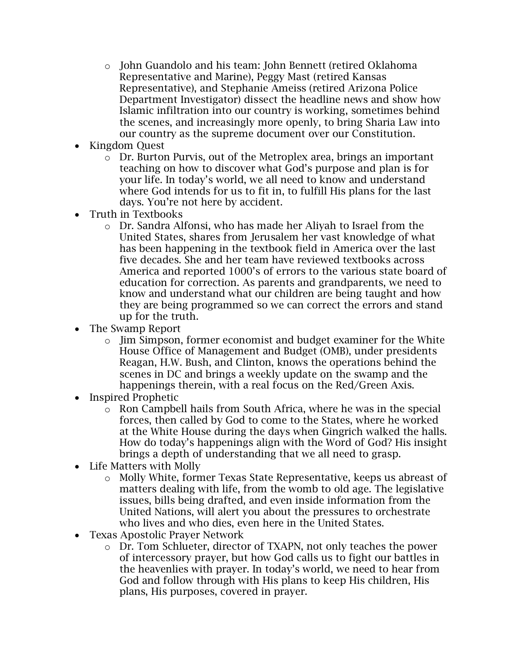- o John Guandolo and his team: John Bennett (retired Oklahoma Representative and Marine), Peggy Mast (retired Kansas Representative), and Stephanie Ameiss (retired Arizona Police Department Investigator) dissect the headline news and show how Islamic infiltration into our country is working, sometimes behind the scenes, and increasingly more openly, to bring Sharia Law into our country as the supreme document over our Constitution.
- Kingdom Quest
	- o Dr. Burton Purvis, out of the Metroplex area, brings an important teaching on how to discover what God's purpose and plan is for your life. In today's world, we all need to know and understand where God intends for us to fit in, to fulfill His plans for the last days. You're not here by accident.
- Truth in Textbooks
	- o Dr. Sandra Alfonsi, who has made her Aliyah to Israel from the United States, shares from Jerusalem her vast knowledge of what has been happening in the textbook field in America over the last five decades. She and her team have reviewed textbooks across America and reported 1000's of errors to the various state board of education for correction. As parents and grandparents, we need to know and understand what our children are being taught and how they are being programmed so we can correct the errors and stand up for the truth.
- The Swamp Report
	- o Jim Simpson, former economist and budget examiner for the White House Office of Management and Budget (OMB), under presidents Reagan, H.W. Bush, and Clinton, knows the operations behind the scenes in DC and brings a weekly update on the swamp and the happenings therein, with a real focus on the Red/Green Axis.
- Inspired Prophetic
	- o Ron Campbell hails from South Africa, where he was in the special forces, then called by God to come to the States, where he worked at the White House during the days when Gingrich walked the halls. How do today's happenings align with the Word of God? His insight brings a depth of understanding that we all need to grasp.
- Life Matters with Molly
	- o Molly White, former Texas State Representative, keeps us abreast of matters dealing with life, from the womb to old age. The legislative issues, bills being drafted, and even inside information from the United Nations, will alert you about the pressures to orchestrate who lives and who dies, even here in the United States.
- Texas Apostolic Prayer Network
	- o Dr. Tom Schlueter, director of TXAPN, not only teaches the power of intercessory prayer, but how God calls us to fight our battles in the heavenlies with prayer. In today's world, we need to hear from God and follow through with His plans to keep His children, His plans, His purposes, covered in prayer.